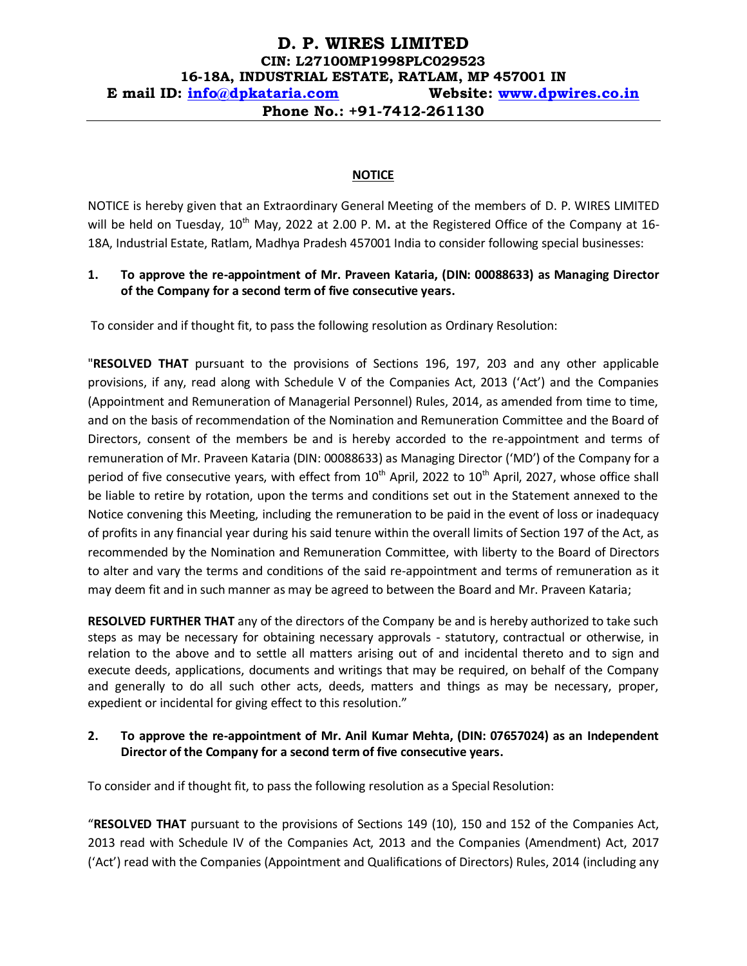# **D. P. WIRES LIMITED CIN: L27100MP1998PLC029523 16-18A, INDUSTRIAL ESTATE, RATLAM, MP 457001 IN E mail ID: [info@dpkataria.com](mailto:info@dpkataria.com) Website: [www.dpwires.co.in](http://www.dpwires.co.in/) Phone No.: +91-7412-261130**

#### **NOTICE**

NOTICE is hereby given that an Extraordinary General Meeting of the members of D. P. WIRES LIMITED will be held on Tuesday, 10<sup>th</sup> May, 2022 at 2.00 P. M. at the Registered Office of the Company at 16-18A, Industrial Estate, Ratlam, Madhya Pradesh 457001 India to consider following special businesses:

# **1. To approve the re-appointment of Mr. Praveen Kataria, (DIN: 00088633) as Managing Director of the Company for a second term of five consecutive years.**

To consider and if thought fit, to pass the following resolution as Ordinary Resolution:

"**RESOLVED THAT** pursuant to the provisions of Sections 196, 197, 203 and any other applicable provisions, if any, read along with Schedule V of the Companies Act, 2013 ('Act') and the Companies (Appointment and Remuneration of Managerial Personnel) Rules, 2014, as amended from time to time, and on the basis of recommendation of the Nomination and Remuneration Committee and the Board of Directors, consent of the members be and is hereby accorded to the re-appointment and terms of remuneration of Mr. Praveen Kataria (DIN: 00088633) as Managing Director ('MD') of the Company for a period of five consecutive years, with effect from 10<sup>th</sup> April, 2022 to 10<sup>th</sup> April, 2027, whose office shall be liable to retire by rotation, upon the terms and conditions set out in the Statement annexed to the Notice convening this Meeting, including the remuneration to be paid in the event of loss or inadequacy of profits in any financial year during his said tenure within the overall limits of Section 197 of the Act, as recommended by the Nomination and Remuneration Committee, with liberty to the Board of Directors to alter and vary the terms and conditions of the said re-appointment and terms of remuneration as it may deem fit and in such manner as may be agreed to between the Board and Mr. Praveen Kataria;

**RESOLVED FURTHER THAT** any of the directors of the Company be and is hereby authorized to take such steps as may be necessary for obtaining necessary approvals - statutory, contractual or otherwise, in relation to the above and to settle all matters arising out of and incidental thereto and to sign and execute deeds, applications, documents and writings that may be required, on behalf of the Company and generally to do all such other acts, deeds, matters and things as may be necessary, proper, expedient or incidental for giving effect to this resolution."

# **2. To approve the re-appointment of Mr. Anil Kumar Mehta, (DIN: 07657024) as an Independent Director of the Company for a second term of five consecutive years.**

To consider and if thought fit, to pass the following resolution as a Special Resolution:

"**RESOLVED THAT** pursuant to the provisions of Sections 149 (10), 150 and 152 of the Companies Act, 2013 read with Schedule IV of the Companies Act, 2013 and the Companies (Amendment) Act, 2017 ('Act') read with the Companies (Appointment and Qualifications of Directors) Rules, 2014 (including any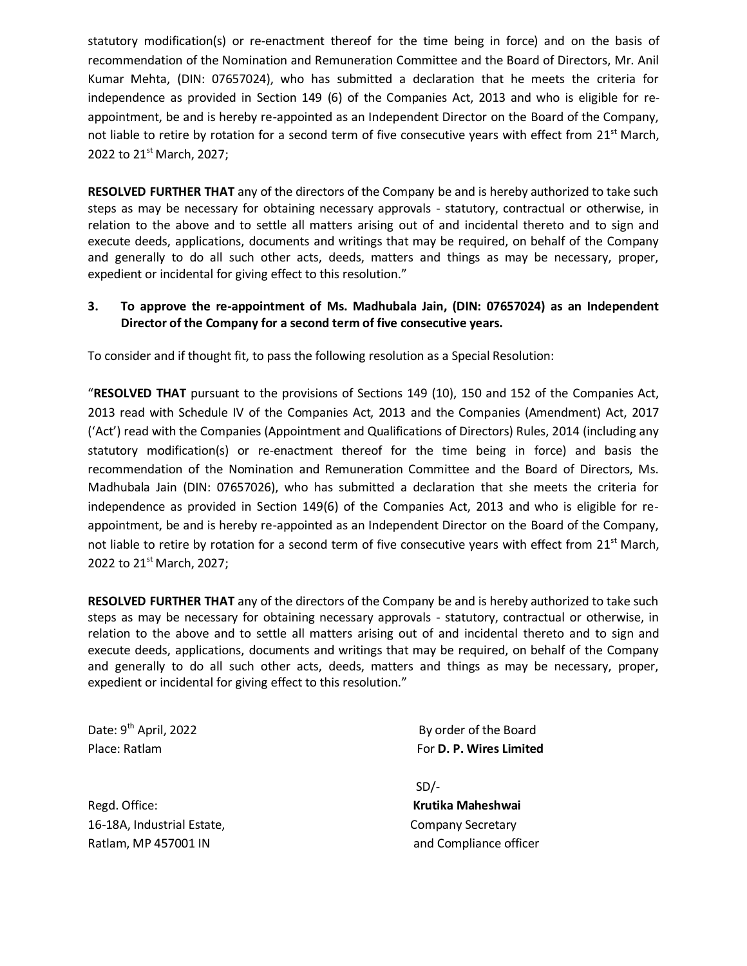statutory modification(s) or re-enactment thereof for the time being in force) and on the basis of recommendation of the Nomination and Remuneration Committee and the Board of Directors, Mr. Anil Kumar Mehta, (DIN: 07657024), who has submitted a declaration that he meets the criteria for independence as provided in Section 149 (6) of the Companies Act, 2013 and who is eligible for reappointment, be and is hereby re-appointed as an Independent Director on the Board of the Company, not liable to retire by rotation for a second term of five consecutive years with effect from 21<sup>st</sup> March, 2022 to 21<sup>st</sup> March, 2027;

**RESOLVED FURTHER THAT** any of the directors of the Company be and is hereby authorized to take such steps as may be necessary for obtaining necessary approvals - statutory, contractual or otherwise, in relation to the above and to settle all matters arising out of and incidental thereto and to sign and execute deeds, applications, documents and writings that may be required, on behalf of the Company and generally to do all such other acts, deeds, matters and things as may be necessary, proper, expedient or incidental for giving effect to this resolution."

# **3. To approve the re-appointment of Ms. Madhubala Jain, (DIN: 07657024) as an Independent Director of the Company for a second term of five consecutive years.**

To consider and if thought fit, to pass the following resolution as a Special Resolution:

"**RESOLVED THAT** pursuant to the provisions of Sections 149 (10), 150 and 152 of the Companies Act, 2013 read with Schedule IV of the Companies Act, 2013 and the Companies (Amendment) Act, 2017 ('Act') read with the Companies (Appointment and Qualifications of Directors) Rules, 2014 (including any statutory modification(s) or re-enactment thereof for the time being in force) and basis the recommendation of the Nomination and Remuneration Committee and the Board of Directors, Ms. Madhubala Jain (DIN: 07657026), who has submitted a declaration that she meets the criteria for independence as provided in Section 149(6) of the Companies Act, 2013 and who is eligible for reappointment, be and is hereby re-appointed as an Independent Director on the Board of the Company, not liable to retire by rotation for a second term of five consecutive years with effect from 21<sup>st</sup> March, 2022 to 21<sup>st</sup> March, 2027;

**RESOLVED FURTHER THAT** any of the directors of the Company be and is hereby authorized to take such steps as may be necessary for obtaining necessary approvals - statutory, contractual or otherwise, in relation to the above and to settle all matters arising out of and incidental thereto and to sign and execute deeds, applications, documents and writings that may be required, on behalf of the Company and generally to do all such other acts, deeds, matters and things as may be necessary, proper, expedient or incidental for giving effect to this resolution."

Date: 9<sup>th</sup> April, 2022

Regd. Office: **Krutika Maheshwai** 16-18A, Industrial Estate, and the company Secretary Ratlam, MP 457001 IN and Compliance officer

By order of the Board Place: Ratlam **For D. P. Wires Limited** For D. P. Wires Limited

SD/-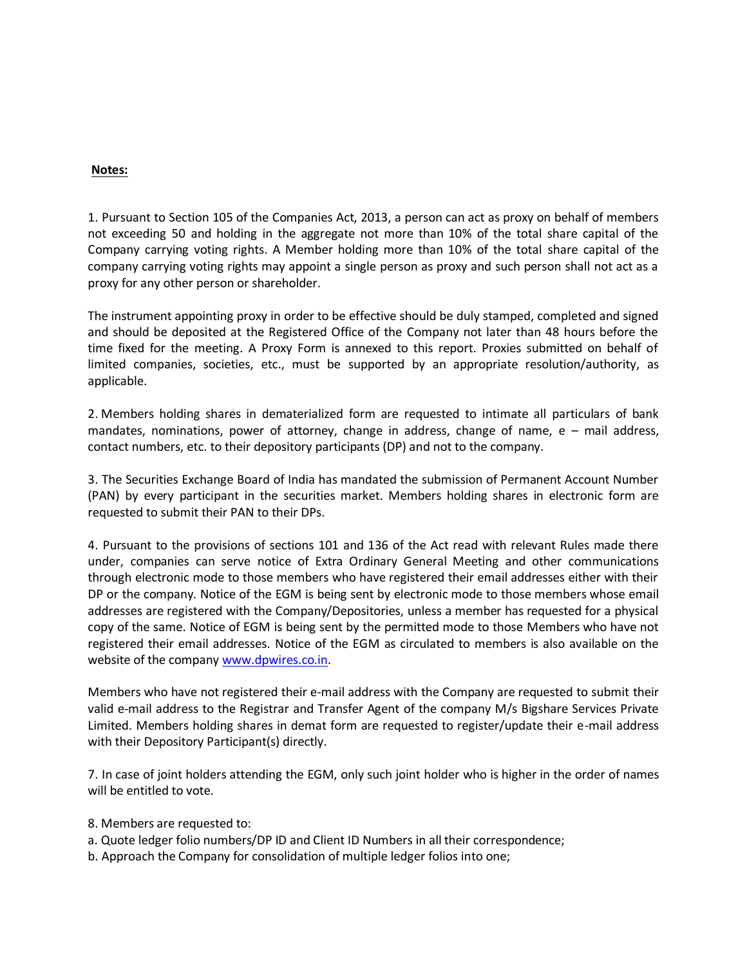## **Notes:**

1. Pursuant to Section 105 of the Companies Act, 2013, a person can act as proxy on behalf of members not exceeding 50 and holding in the aggregate not more than 10% of the total share capital of the Company carrying voting rights. A Member holding more than 10% of the total share capital of the company carrying voting rights may appoint a single person as proxy and such person shall not act as a proxy for any other person or shareholder.

The instrument appointing proxy in order to be effective should be duly stamped, completed and signed and should be deposited at the Registered Office of the Company not later than 48 hours before the time fixed for the meeting. A Proxy Form is annexed to this report. Proxies submitted on behalf of limited companies, societies, etc., must be supported by an appropriate resolution/authority, as applicable.

2. Members holding shares in dematerialized form are requested to intimate all particulars of bank mandates, nominations, power of attorney, change in address, change of name,  $e -$  mail address, contact numbers, etc. to their depository participants (DP) and not to the company.

3. The Securities Exchange Board of India has mandated the submission of Permanent Account Number (PAN) by every participant in the securities market. Members holding shares in electronic form are requested to submit their PAN to their DPs.

4. Pursuant to the provisions of sections 101 and 136 of the Act read with relevant Rules made there under, companies can serve notice of Extra Ordinary General Meeting and other communications through electronic mode to those members who have registered their email addresses either with their DP or the company. Notice of the EGM is being sent by electronic mode to those members whose email addresses are registered with the Company/Depositories, unless a member has requested for a physical copy of the same. Notice of EGM is being sent by the permitted mode to those Members who have not registered their email addresses. Notice of the EGM as circulated to members is also available on the website of the company [www.dpwires.co.in.](http://www.dpwires.co.in/)

Members who have not registered their e-mail address with the Company are requested to submit their valid e-mail address to the Registrar and Transfer Agent of the company M/s Bigshare Services Private Limited. Members holding shares in demat form are requested to register/update their e-mail address with their Depository Participant(s) directly.

7. In case of joint holders attending the EGM, only such joint holder who is higher in the order of names will be entitled to vote.

- 8. Members are requested to:
- a. Quote ledger folio numbers/DP ID and Client ID Numbers in all their correspondence;
- b. Approach the Company for consolidation of multiple ledger folios into one;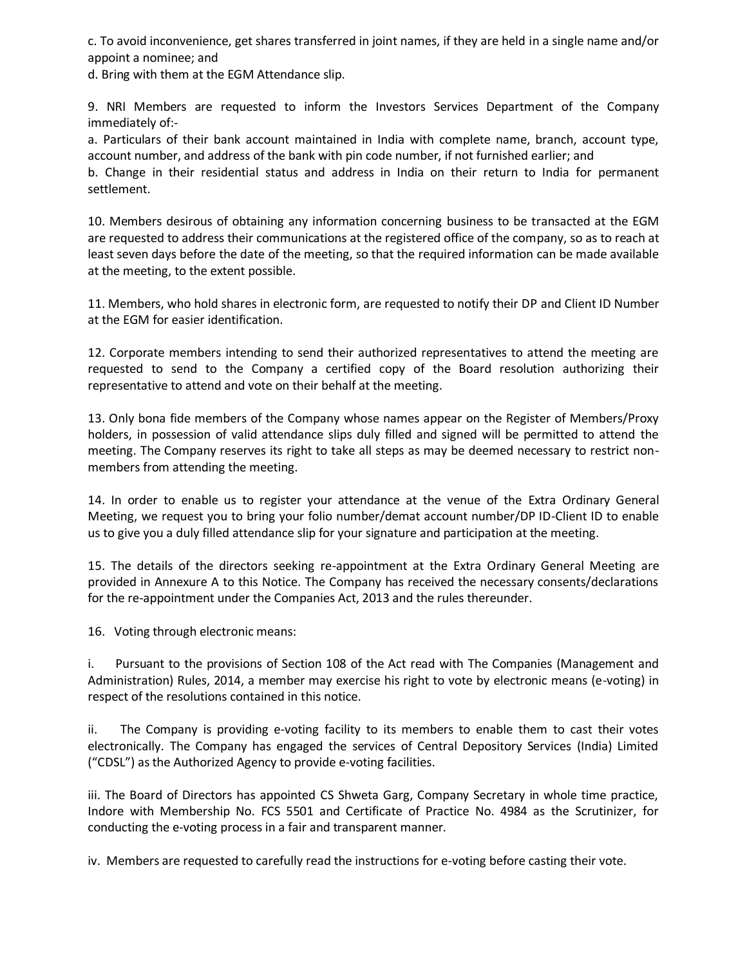c. To avoid inconvenience, get shares transferred in joint names, if they are held in a single name and/or appoint a nominee; and

d. Bring with them at the EGM Attendance slip.

9. NRI Members are requested to inform the Investors Services Department of the Company immediately of:-

a. Particulars of their bank account maintained in India with complete name, branch, account type, account number, and address of the bank with pin code number, if not furnished earlier; and

b. Change in their residential status and address in India on their return to India for permanent settlement.

10. Members desirous of obtaining any information concerning business to be transacted at the EGM are requested to address their communications at the registered office of the company, so as to reach at least seven days before the date of the meeting, so that the required information can be made available at the meeting, to the extent possible.

11. Members, who hold shares in electronic form, are requested to notify their DP and Client ID Number at the EGM for easier identification.

12. Corporate members intending to send their authorized representatives to attend the meeting are requested to send to the Company a certified copy of the Board resolution authorizing their representative to attend and vote on their behalf at the meeting.

13. Only bona fide members of the Company whose names appear on the Register of Members/Proxy holders, in possession of valid attendance slips duly filled and signed will be permitted to attend the meeting. The Company reserves its right to take all steps as may be deemed necessary to restrict nonmembers from attending the meeting.

14. In order to enable us to register your attendance at the venue of the Extra Ordinary General Meeting, we request you to bring your folio number/demat account number/DP ID-Client ID to enable us to give you a duly filled attendance slip for your signature and participation at the meeting.

15. The details of the directors seeking re-appointment at the Extra Ordinary General Meeting are provided in Annexure A to this Notice. The Company has received the necessary consents/declarations for the re-appointment under the Companies Act, 2013 and the rules thereunder.

16. Voting through electronic means:

i. Pursuant to the provisions of Section 108 of the Act read with The Companies (Management and Administration) Rules, 2014, a member may exercise his right to vote by electronic means (e-voting) in respect of the resolutions contained in this notice.

ii. The Company is providing e-voting facility to its members to enable them to cast their votes electronically. The Company has engaged the services of Central Depository Services (India) Limited ("CDSL") as the Authorized Agency to provide e-voting facilities.

iii. The Board of Directors has appointed CS Shweta Garg, Company Secretary in whole time practice, Indore with Membership No. FCS 5501 and Certificate of Practice No. 4984 as the Scrutinizer, for conducting the e-voting process in a fair and transparent manner.

iv. Members are requested to carefully read the instructions for e-voting before casting their vote.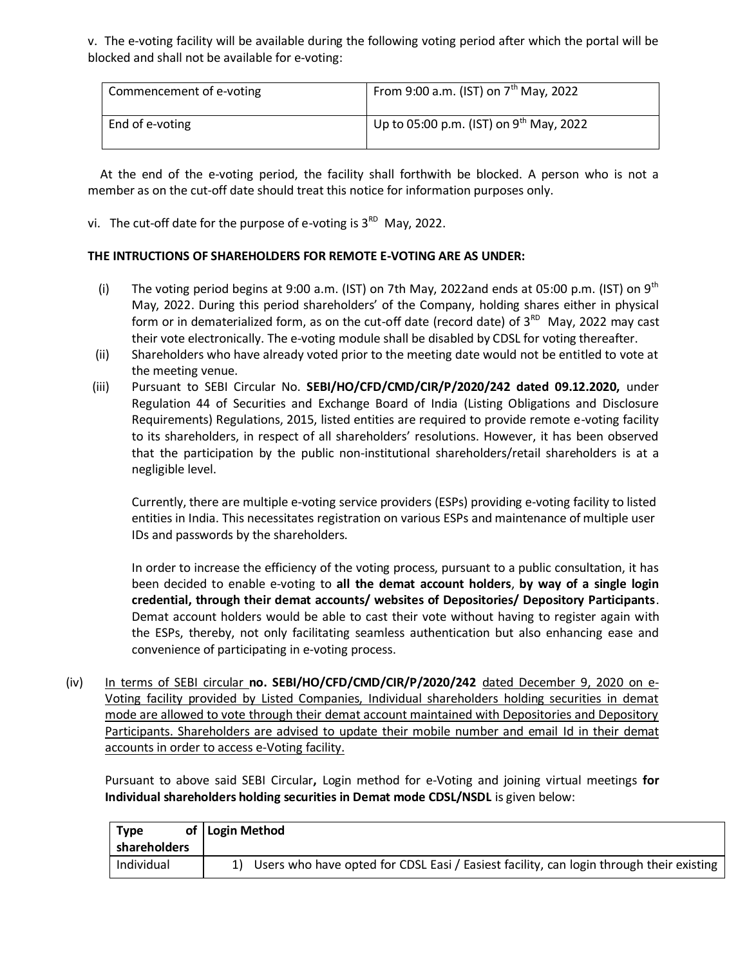v. The e-voting facility will be available during the following voting period after which the portal will be blocked and shall not be available for e-voting:

| Commencement of e-voting | From 9:00 a.m. (IST) on $7^{th}$ May, 2022          |
|--------------------------|-----------------------------------------------------|
| End of e-voting          | Up to 05:00 p.m. (IST) on 9 <sup>th</sup> May, 2022 |

 At the end of the e-voting period, the facility shall forthwith be blocked. A person who is not a member as on the cut-off date should treat this notice for information purposes only.

vi. The cut-off date for the purpose of e-voting is  $3^{RD}$  May, 2022.

# **THE INTRUCTIONS OF SHAREHOLDERS FOR REMOTE E-VOTING ARE AS UNDER:**

- (i) The voting period begins at 9:00 a.m. (IST) on 7th May, 2022and ends at 05:00 p.m. (IST) on  $9<sup>th</sup>$ May, 2022. During this period shareholders' of the Company, holding shares either in physical form or in dematerialized form, as on the cut-off date (record date) of  $3^{RD}$  May, 2022 may cast their vote electronically. The e-voting module shall be disabled by CDSL for voting thereafter.
- (ii) Shareholders who have already voted prior to the meeting date would not be entitled to vote at the meeting venue.
- (iii) Pursuant to SEBI Circular No. **SEBI/HO/CFD/CMD/CIR/P/2020/242 dated 09.12.2020,** under Regulation 44 of Securities and Exchange Board of India (Listing Obligations and Disclosure Requirements) Regulations, 2015, listed entities are required to provide remote e-voting facility to its shareholders, in respect of all shareholders' resolutions. However, it has been observed that the participation by the public non-institutional shareholders/retail shareholders is at a negligible level.

Currently, there are multiple e-voting service providers (ESPs) providing e-voting facility to listed entities in India. This necessitates registration on various ESPs and maintenance of multiple user IDs and passwords by the shareholders.

In order to increase the efficiency of the voting process, pursuant to a public consultation, it has been decided to enable e-voting to **all the demat account holders**, **by way of a single login credential, through their demat accounts/ websites of Depositories/ Depository Participants**. Demat account holders would be able to cast their vote without having to register again with the ESPs, thereby, not only facilitating seamless authentication but also enhancing ease and convenience of participating in e-voting process.

(iv) In terms of SEBI circular **no. SEBI/HO/CFD/CMD/CIR/P/2020/242** dated December 9, 2020 on e-Voting facility provided by Listed Companies, Individual shareholders holding securities in demat mode are allowed to vote through their demat account maintained with Depositories and Depository Participants. Shareholders are advised to update their mobile number and email Id in their demat accounts in order to access e-Voting facility.

Pursuant to above said SEBI Circular**,** Login method for e-Voting and joining virtual meetings **for Individual shareholders holding securities in Demat mode CDSL/NSDL** is given below:

| Type         | of   Login Method                                                                          |
|--------------|--------------------------------------------------------------------------------------------|
| shareholders |                                                                                            |
| Individual   | 1) Users who have opted for CDSL Easi / Easiest facility, can login through their existing |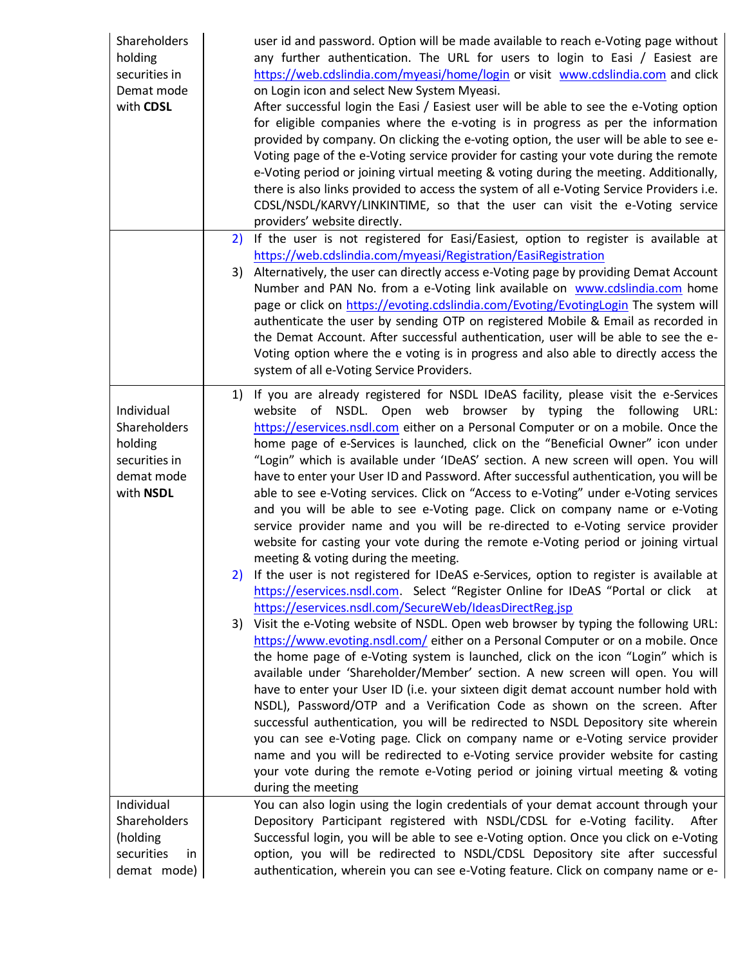| <b>Shareholders</b><br>holding<br>securities in<br>Demat mode<br>with CDSL        | user id and password. Option will be made available to reach e-Voting page without<br>any further authentication. The URL for users to login to Easi / Easiest are<br>https://web.cdslindia.com/myeasi/home/login or visit www.cdslindia.com and click<br>on Login icon and select New System Myeasi.<br>After successful login the Easi / Easiest user will be able to see the e-Voting option<br>for eligible companies where the e-voting is in progress as per the information<br>provided by company. On clicking the e-voting option, the user will be able to see e-<br>Voting page of the e-Voting service provider for casting your vote during the remote<br>e-Voting period or joining virtual meeting & voting during the meeting. Additionally,<br>there is also links provided to access the system of all e-Voting Service Providers i.e.<br>CDSL/NSDL/KARVY/LINKINTIME, so that the user can visit the e-Voting service<br>providers' website directly.                                                                                                                                                                                                                                                                                                                                                                                                                                                                                                                                                                                                                                                                                                                                                                                                                                                                                                                                                                                                                                                                     |
|-----------------------------------------------------------------------------------|---------------------------------------------------------------------------------------------------------------------------------------------------------------------------------------------------------------------------------------------------------------------------------------------------------------------------------------------------------------------------------------------------------------------------------------------------------------------------------------------------------------------------------------------------------------------------------------------------------------------------------------------------------------------------------------------------------------------------------------------------------------------------------------------------------------------------------------------------------------------------------------------------------------------------------------------------------------------------------------------------------------------------------------------------------------------------------------------------------------------------------------------------------------------------------------------------------------------------------------------------------------------------------------------------------------------------------------------------------------------------------------------------------------------------------------------------------------------------------------------------------------------------------------------------------------------------------------------------------------------------------------------------------------------------------------------------------------------------------------------------------------------------------------------------------------------------------------------------------------------------------------------------------------------------------------------------------------------------------------------------------------------------------------------|
|                                                                                   | 2) If the user is not registered for Easi/Easiest, option to register is available at                                                                                                                                                                                                                                                                                                                                                                                                                                                                                                                                                                                                                                                                                                                                                                                                                                                                                                                                                                                                                                                                                                                                                                                                                                                                                                                                                                                                                                                                                                                                                                                                                                                                                                                                                                                                                                                                                                                                                       |
|                                                                                   | https://web.cdslindia.com/myeasi/Registration/EasiRegistration<br>3) Alternatively, the user can directly access e-Voting page by providing Demat Account<br>Number and PAN No. from a e-Voting link available on www.cdslindia.com home<br>page or click on https://evoting.cdslindia.com/Evoting/EvotingLogin The system will<br>authenticate the user by sending OTP on registered Mobile & Email as recorded in<br>the Demat Account. After successful authentication, user will be able to see the e-<br>Voting option where the e voting is in progress and also able to directly access the<br>system of all e-Voting Service Providers.                                                                                                                                                                                                                                                                                                                                                                                                                                                                                                                                                                                                                                                                                                                                                                                                                                                                                                                                                                                                                                                                                                                                                                                                                                                                                                                                                                                             |
| Individual<br>Shareholders<br>holding<br>securities in<br>demat mode<br>with NSDL | 1) If you are already registered for NSDL IDeAS facility, please visit the e-Services<br>website of NSDL. Open web browser by typing the following URL:<br>https://eservices.nsdl.com either on a Personal Computer or on a mobile. Once the<br>home page of e-Services is launched, click on the "Beneficial Owner" icon under<br>"Login" which is available under 'IDeAS' section. A new screen will open. You will<br>have to enter your User ID and Password. After successful authentication, you will be<br>able to see e-Voting services. Click on "Access to e-Voting" under e-Voting services<br>and you will be able to see e-Voting page. Click on company name or e-Voting<br>service provider name and you will be re-directed to e-Voting service provider<br>website for casting your vote during the remote e-Voting period or joining virtual<br>meeting & voting during the meeting.<br>If the user is not registered for IDeAS e-Services, option to register is available at<br>https://eservices.nsdl.com. Select "Register Online for IDeAS "Portal or click at<br>https://eservices.nsdl.com/SecureWeb/IdeasDirectReg.jsp<br>Visit the e-Voting website of NSDL. Open web browser by typing the following URL:<br>3)<br>https://www.evoting.nsdl.com/ either on a Personal Computer or on a mobile. Once<br>the home page of e-Voting system is launched, click on the icon "Login" which is<br>available under 'Shareholder/Member' section. A new screen will open. You will<br>have to enter your User ID (i.e. your sixteen digit demat account number hold with<br>NSDL), Password/OTP and a Verification Code as shown on the screen. After<br>successful authentication, you will be redirected to NSDL Depository site wherein<br>you can see e-Voting page. Click on company name or e-Voting service provider<br>name and you will be redirected to e-Voting service provider website for casting<br>your vote during the remote e-Voting period or joining virtual meeting & voting<br>during the meeting |
| Individual                                                                        | You can also login using the login credentials of your demat account through your                                                                                                                                                                                                                                                                                                                                                                                                                                                                                                                                                                                                                                                                                                                                                                                                                                                                                                                                                                                                                                                                                                                                                                                                                                                                                                                                                                                                                                                                                                                                                                                                                                                                                                                                                                                                                                                                                                                                                           |
| Shareholders                                                                      | Depository Participant registered with NSDL/CDSL for e-Voting facility.<br>After                                                                                                                                                                                                                                                                                                                                                                                                                                                                                                                                                                                                                                                                                                                                                                                                                                                                                                                                                                                                                                                                                                                                                                                                                                                                                                                                                                                                                                                                                                                                                                                                                                                                                                                                                                                                                                                                                                                                                            |
| (holding<br>securities<br>in                                                      | Successful login, you will be able to see e-Voting option. Once you click on e-Voting<br>option, you will be redirected to NSDL/CDSL Depository site after successful                                                                                                                                                                                                                                                                                                                                                                                                                                                                                                                                                                                                                                                                                                                                                                                                                                                                                                                                                                                                                                                                                                                                                                                                                                                                                                                                                                                                                                                                                                                                                                                                                                                                                                                                                                                                                                                                       |
| demat mode)                                                                       | authentication, wherein you can see e-Voting feature. Click on company name or e-                                                                                                                                                                                                                                                                                                                                                                                                                                                                                                                                                                                                                                                                                                                                                                                                                                                                                                                                                                                                                                                                                                                                                                                                                                                                                                                                                                                                                                                                                                                                                                                                                                                                                                                                                                                                                                                                                                                                                           |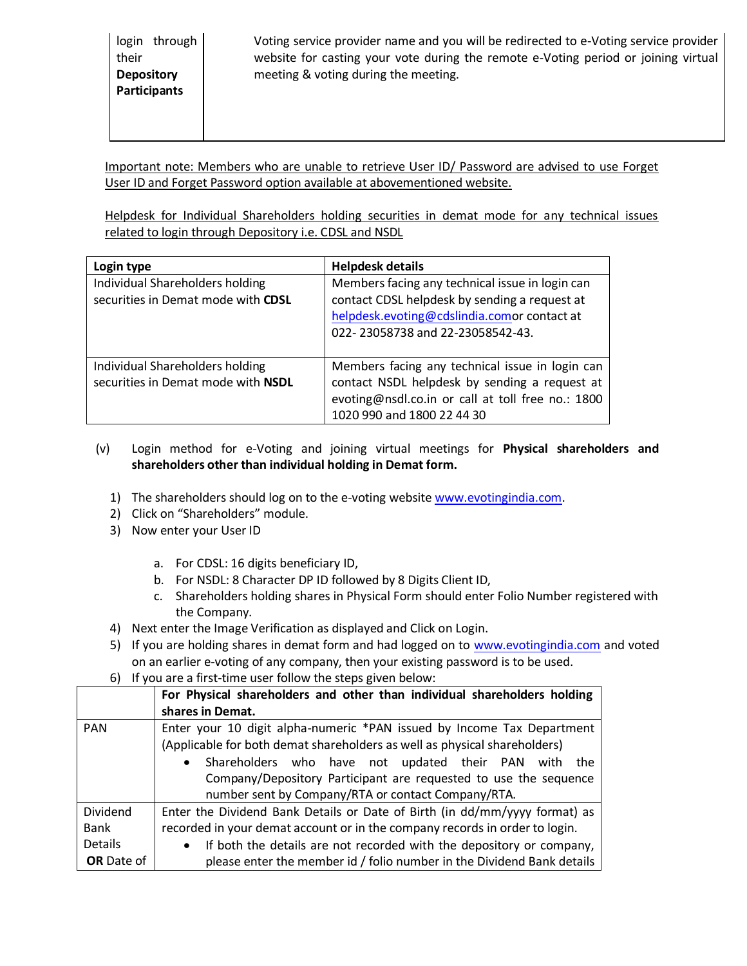Voting service provider name and you will be redirected to e-Voting service provider website for casting your vote during the remote e-Voting period or joining virtual meeting & voting during the meeting.

Important note: Members who are unable to retrieve User ID/ Password are advised to use Forget User ID and Forget Password option available at abovementioned website.

Helpdesk for Individual Shareholders holding securities in demat mode for any technical issues related to login through Depository i.e. CDSL and NSDL

| Login type                                                            | <b>Helpdesk details</b>                                                                                                                                                             |
|-----------------------------------------------------------------------|-------------------------------------------------------------------------------------------------------------------------------------------------------------------------------------|
| Individual Shareholders holding<br>securities in Demat mode with CDSL | Members facing any technical issue in login can<br>contact CDSL helpdesk by sending a request at<br>helpdesk.evoting@cdslindia.comor contact at<br>022-23058738 and 22-23058542-43. |
| Individual Shareholders holding<br>securities in Demat mode with NSDL | Members facing any technical issue in login can<br>contact NSDL helpdesk by sending a request at<br>evoting@nsdl.co.in or call at toll free no.: 1800<br>1020 990 and 1800 22 44 30 |

- (v) Login method for e-Voting and joining virtual meetings for **Physical shareholders and shareholders other than individual holding in Demat form.**
	- 1) The shareholders should log on to the e-voting websit[e www.evotingindia.com.](http://www.evotingindia.com/)
	- 2) Click on "Shareholders" module.
	- 3) Now enter your User ID
		- a. For CDSL: 16 digits beneficiary ID,
		- b. For NSDL: 8 Character DP ID followed by 8 Digits Client ID,
		- c. Shareholders holding shares in Physical Form should enter Folio Number registered with the Company.
	- 4) Next enter the Image Verification as displayed and Click on Login.
	- 5) If you are holding shares in demat form and had logged on to [www.evotingindia.com](http://www.evotingindia.com/) and voted on an earlier e-voting of any company, then your existing password is to be used.
	- 6) If you are a first-time user follow the steps given below:

|                              | For Physical shareholders and other than individual shareholders holding<br>shares in Demat.                                                                                                                                                                                                                                                       |
|------------------------------|----------------------------------------------------------------------------------------------------------------------------------------------------------------------------------------------------------------------------------------------------------------------------------------------------------------------------------------------------|
| <b>PAN</b>                   | Enter your 10 digit alpha-numeric *PAN issued by Income Tax Department<br>(Applicable for both demat shareholders as well as physical shareholders)<br>Shareholders who have not updated their PAN with the<br>$\bullet$<br>Company/Depository Participant are requested to use the sequence<br>number sent by Company/RTA or contact Company/RTA. |
| Dividend<br>Bank             | Enter the Dividend Bank Details or Date of Birth (in dd/mm/yyyy format) as<br>recorded in your demat account or in the company records in order to login.                                                                                                                                                                                          |
| Details<br><b>OR</b> Date of | If both the details are not recorded with the depository or company,<br>$\bullet$<br>please enter the member id / folio number in the Dividend Bank details                                                                                                                                                                                        |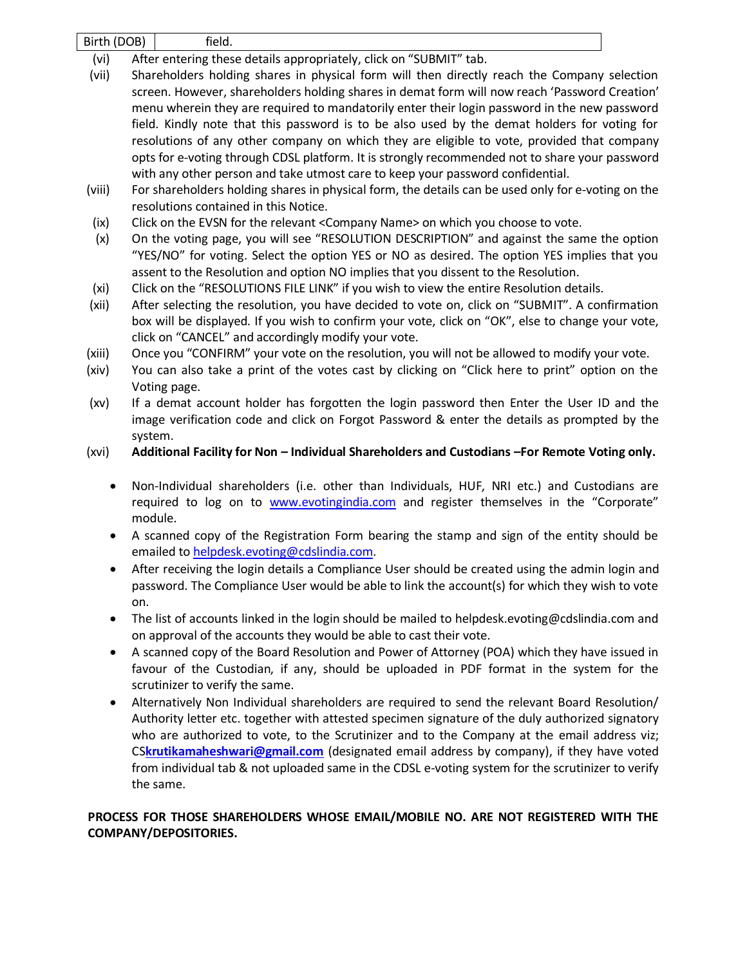Birth (DOB) field.

- (vi) After entering these details appropriately, click on "SUBMIT" tab.
- (vii) Shareholders holding shares in physical form will then directly reach the Company selection screen. However, shareholders holding shares in demat form will now reach 'Password Creation' menu wherein they are required to mandatorily enter their login password in the new password field. Kindly note that this password is to be also used by the demat holders for voting for resolutions of any other company on which they are eligible to vote, provided that company opts for e-voting through CDSL platform. It is strongly recommended not to share your password with any other person and take utmost care to keep your password confidential.
- (viii) For shareholders holding shares in physical form, the details can be used only for e-voting on the resolutions contained in this Notice.
- (ix) Click on the EVSN for the relevant <Company Name> on which you choose to vote.
- (x) On the voting page, you will see "RESOLUTION DESCRIPTION" and against the same the option "YES/NO" for voting. Select the option YES or NO as desired. The option YES implies that you assent to the Resolution and option NO implies that you dissent to the Resolution.
- (xi) Click on the "RESOLUTIONS FILE LINK" if you wish to view the entire Resolution details.
- (xii) After selecting the resolution, you have decided to vote on, click on "SUBMIT". A confirmation box will be displayed. If you wish to confirm your vote, click on "OK", else to change your vote, click on "CANCEL" and accordingly modify your vote.
- (xiii) Once you "CONFIRM" your vote on the resolution, you will not be allowed to modify your vote.
- (xiv) You can also take a print of the votes cast by clicking on "Click here to print" option on the Voting page.
- (xv) If a demat account holder has forgotten the login password then Enter the User ID and the image verification code and click on Forgot Password & enter the details as prompted by the system.

# (xvi) **Additional Facility for Non – Individual Shareholders and Custodians –For Remote Voting only.**

- Non-Individual shareholders (i.e. other than Individuals, HUF, NRI etc.) and Custodians are required to log on to [www.evotingindia.com](http://www.evotingindia.com/) and register themselves in the "Corporate" module.
- A scanned copy of the Registration Form bearing the stamp and sign of the entity should be emailed t[o helpdesk.evoting@cdslindia.com.](mailto:helpdesk.evoting@cdslindia.com)
- After receiving the login details a Compliance User should be created using the admin login and password. The Compliance User would be able to link the account(s) for which they wish to vote on.
- The list of accounts linked in the login should be mailed to helpdesk.evoting@cdslindia.com and on approval of the accounts they would be able to cast their vote.
- A scanned copy of the Board Resolution and Power of Attorney (POA) which they have issued in favour of the Custodian, if any, should be uploaded in PDF format in the system for the scrutinizer to verify the same.
- Alternatively Non Individual shareholders are required to send the relevant Board Resolution/ Authority letter etc. together with attested specimen signature of the duly authorized signatory who are authorized to vote, to the Scrutinizer and to the Company at the email address viz; CS**[krutikamaheshwari@gmail.com](mailto:krutikamaheshwari@gmail.com)** (designated email address by company), if they have voted from individual tab & not uploaded same in the CDSL e-voting system for the scrutinizer to verify the same.

# **PROCESS FOR THOSE SHAREHOLDERS WHOSE EMAIL/MOBILE NO. ARE NOT REGISTERED WITH THE COMPANY/DEPOSITORIES.**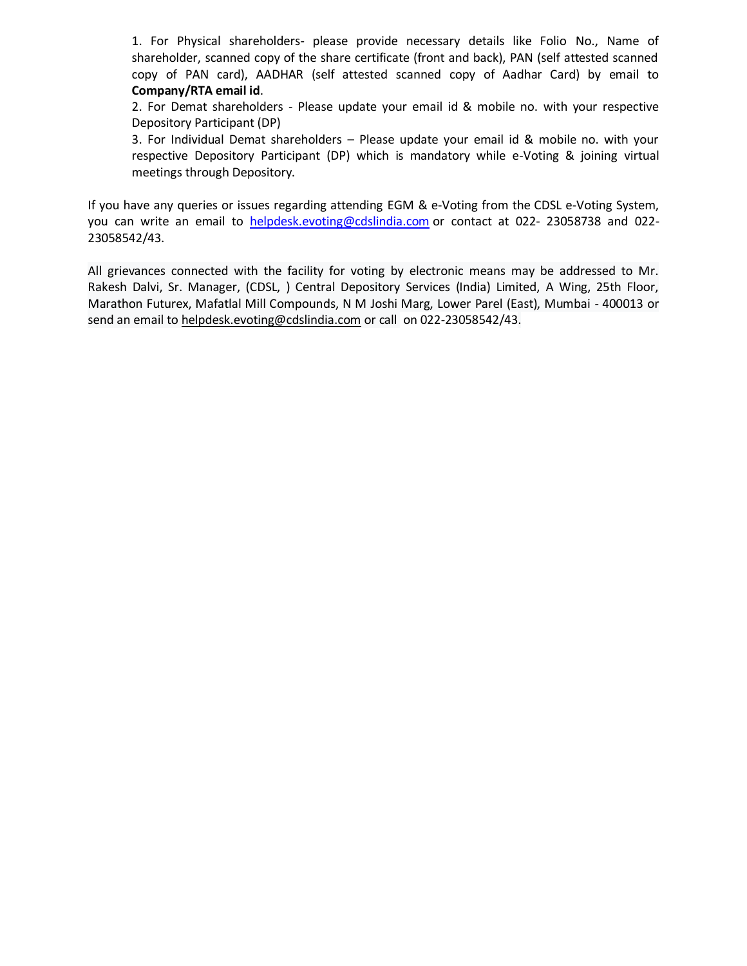1. For Physical shareholders- please provide necessary details like Folio No., Name of shareholder, scanned copy of the share certificate (front and back), PAN (self attested scanned copy of PAN card), AADHAR (self attested scanned copy of Aadhar Card) by email to **Company/RTA email id**.

2. For Demat shareholders - Please update your email id & mobile no. with your respective Depository Participant (DP)

3. For Individual Demat shareholders – Please update your email id & mobile no. with your respective Depository Participant (DP) which is mandatory while e-Voting & joining virtual meetings through Depository.

If you have any queries or issues regarding attending EGM & e-Voting from the CDSL e-Voting System, you can write an email to [helpdesk.evoting@cdslindia.com](mailto:helpdesk.evoting@cdslindia.com) or contact at 022- 23058738 and 022- 23058542/43.

All grievances connected with the facility for voting by electronic means may be addressed to Mr. Rakesh Dalvi, Sr. Manager, (CDSL, ) Central Depository Services (India) Limited, A Wing, 25th Floor, Marathon Futurex, Mafatlal Mill Compounds, N M Joshi Marg, Lower Parel (East), Mumbai - 400013 or send an email t[o helpdesk.evoting@cdslindia.com](mailto:helpdesk.evoting@cdslindia.com) or call on 022-23058542/43.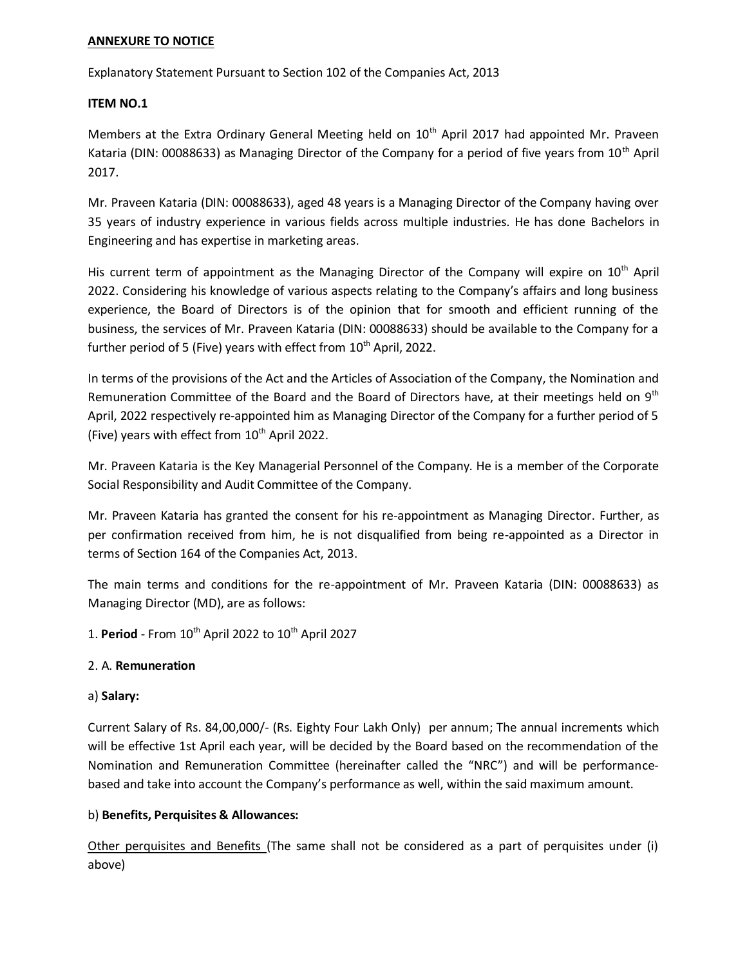#### **ANNEXURE TO NOTICE**

Explanatory Statement Pursuant to Section 102 of the Companies Act, 2013

#### **ITEM NO.1**

Members at the Extra Ordinary General Meeting held on 10<sup>th</sup> April 2017 had appointed Mr. Praveen Kataria (DIN: 00088633) as Managing Director of the Company for a period of five years from  $10<sup>th</sup>$  April 2017.

Mr. Praveen Kataria (DIN: 00088633), aged 48 years is a Managing Director of the Company having over 35 years of industry experience in various fields across multiple industries. He has done Bachelors in Engineering and has expertise in marketing areas.

His current term of appointment as the Managing Director of the Company will expire on 10<sup>th</sup> April 2022. Considering his knowledge of various aspects relating to the Company's affairs and long business experience, the Board of Directors is of the opinion that for smooth and efficient running of the business, the services of Mr. Praveen Kataria (DIN: 00088633) should be available to the Company for a further period of 5 (Five) years with effect from 10<sup>th</sup> April, 2022.

In terms of the provisions of the Act and the Articles of Association of the Company, the Nomination and Remuneration Committee of the Board and the Board of Directors have, at their meetings held on  $9<sup>th</sup>$ April, 2022 respectively re-appointed him as Managing Director of the Company for a further period of 5 (Five) years with effect from  $10^{th}$  April 2022.

Mr. Praveen Kataria is the Key Managerial Personnel of the Company. He is a member of the Corporate Social Responsibility and Audit Committee of the Company.

Mr. Praveen Kataria has granted the consent for his re-appointment as Managing Director. Further, as per confirmation received from him, he is not disqualified from being re-appointed as a Director in terms of Section 164 of the Companies Act, 2013.

The main terms and conditions for the re-appointment of Mr. Praveen Kataria (DIN: 00088633) as Managing Director (MD), are as follows:

1. **Period** - From 10<sup>th</sup> April 2022 to 10<sup>th</sup> April 2027

## 2. A. **Remuneration**

## a) **Salary:**

Current Salary of Rs. 84,00,000/- (Rs. Eighty Four Lakh Only) per annum; The annual increments which will be effective 1st April each year, will be decided by the Board based on the recommendation of the Nomination and Remuneration Committee (hereinafter called the "NRC") and will be performancebased and take into account the Company's performance as well, within the said maximum amount.

## b) **Benefits, Perquisites & Allowances:**

Other perquisites and Benefits (The same shall not be considered as a part of perquisites under (i) above)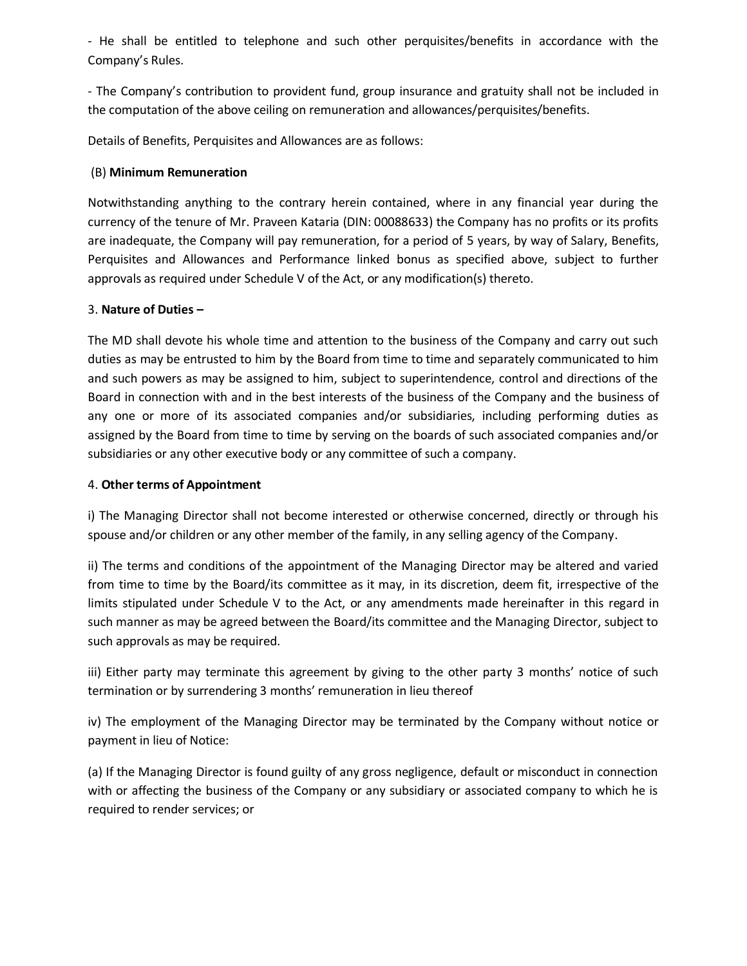- He shall be entitled to telephone and such other perquisites/benefits in accordance with the Company's Rules.

- The Company's contribution to provident fund, group insurance and gratuity shall not be included in the computation of the above ceiling on remuneration and allowances/perquisites/benefits.

Details of Benefits, Perquisites and Allowances are as follows:

# (B) **Minimum Remuneration**

Notwithstanding anything to the contrary herein contained, where in any financial year during the currency of the tenure of Mr. Praveen Kataria (DIN: 00088633) the Company has no profits or its profits are inadequate, the Company will pay remuneration, for a period of 5 years, by way of Salary, Benefits, Perquisites and Allowances and Performance linked bonus as specified above, subject to further approvals as required under Schedule V of the Act, or any modification(s) thereto.

## 3. **Nature of Duties –**

The MD shall devote his whole time and attention to the business of the Company and carry out such duties as may be entrusted to him by the Board from time to time and separately communicated to him and such powers as may be assigned to him, subject to superintendence, control and directions of the Board in connection with and in the best interests of the business of the Company and the business of any one or more of its associated companies and/or subsidiaries, including performing duties as assigned by the Board from time to time by serving on the boards of such associated companies and/or subsidiaries or any other executive body or any committee of such a company.

# 4. **Other terms of Appointment**

i) The Managing Director shall not become interested or otherwise concerned, directly or through his spouse and/or children or any other member of the family, in any selling agency of the Company.

ii) The terms and conditions of the appointment of the Managing Director may be altered and varied from time to time by the Board/its committee as it may, in its discretion, deem fit, irrespective of the limits stipulated under Schedule V to the Act, or any amendments made hereinafter in this regard in such manner as may be agreed between the Board/its committee and the Managing Director, subject to such approvals as may be required.

iii) Either party may terminate this agreement by giving to the other party 3 months' notice of such termination or by surrendering 3 months' remuneration in lieu thereof

iv) The employment of the Managing Director may be terminated by the Company without notice or payment in lieu of Notice:

(a) If the Managing Director is found guilty of any gross negligence, default or misconduct in connection with or affecting the business of the Company or any subsidiary or associated company to which he is required to render services; or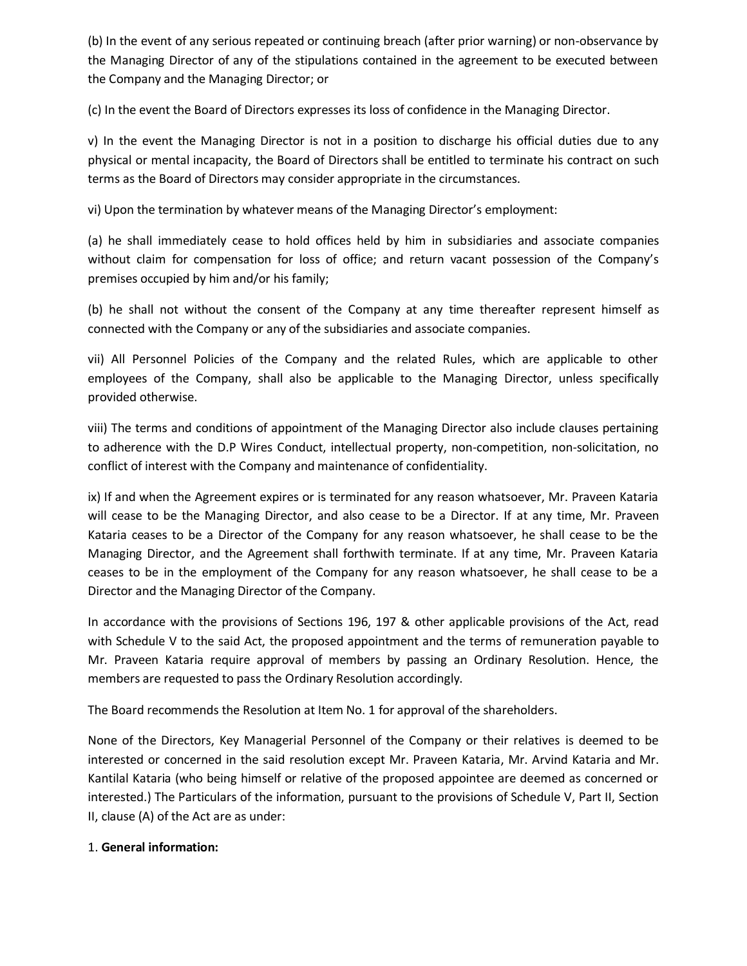(b) In the event of any serious repeated or continuing breach (after prior warning) or non-observance by the Managing Director of any of the stipulations contained in the agreement to be executed between the Company and the Managing Director; or

(c) In the event the Board of Directors expresses its loss of confidence in the Managing Director.

v) In the event the Managing Director is not in a position to discharge his official duties due to any physical or mental incapacity, the Board of Directors shall be entitled to terminate his contract on such terms as the Board of Directors may consider appropriate in the circumstances.

vi) Upon the termination by whatever means of the Managing Director's employment:

(a) he shall immediately cease to hold offices held by him in subsidiaries and associate companies without claim for compensation for loss of office; and return vacant possession of the Company's premises occupied by him and/or his family;

(b) he shall not without the consent of the Company at any time thereafter represent himself as connected with the Company or any of the subsidiaries and associate companies.

vii) All Personnel Policies of the Company and the related Rules, which are applicable to other employees of the Company, shall also be applicable to the Managing Director, unless specifically provided otherwise.

viii) The terms and conditions of appointment of the Managing Director also include clauses pertaining to adherence with the D.P Wires Conduct, intellectual property, non-competition, non-solicitation, no conflict of interest with the Company and maintenance of confidentiality.

ix) If and when the Agreement expires or is terminated for any reason whatsoever, Mr. Praveen Kataria will cease to be the Managing Director, and also cease to be a Director. If at any time, Mr. Praveen Kataria ceases to be a Director of the Company for any reason whatsoever, he shall cease to be the Managing Director, and the Agreement shall forthwith terminate. If at any time, Mr. Praveen Kataria ceases to be in the employment of the Company for any reason whatsoever, he shall cease to be a Director and the Managing Director of the Company.

In accordance with the provisions of Sections 196, 197 & other applicable provisions of the Act, read with Schedule V to the said Act, the proposed appointment and the terms of remuneration payable to Mr. Praveen Kataria require approval of members by passing an Ordinary Resolution. Hence, the members are requested to pass the Ordinary Resolution accordingly.

The Board recommends the Resolution at Item No. 1 for approval of the shareholders.

None of the Directors, Key Managerial Personnel of the Company or their relatives is deemed to be interested or concerned in the said resolution except Mr. Praveen Kataria, Mr. Arvind Kataria and Mr. Kantilal Kataria (who being himself or relative of the proposed appointee are deemed as concerned or interested.) The Particulars of the information, pursuant to the provisions of Schedule V, Part II, Section II, clause (A) of the Act are as under:

## 1. **General information:**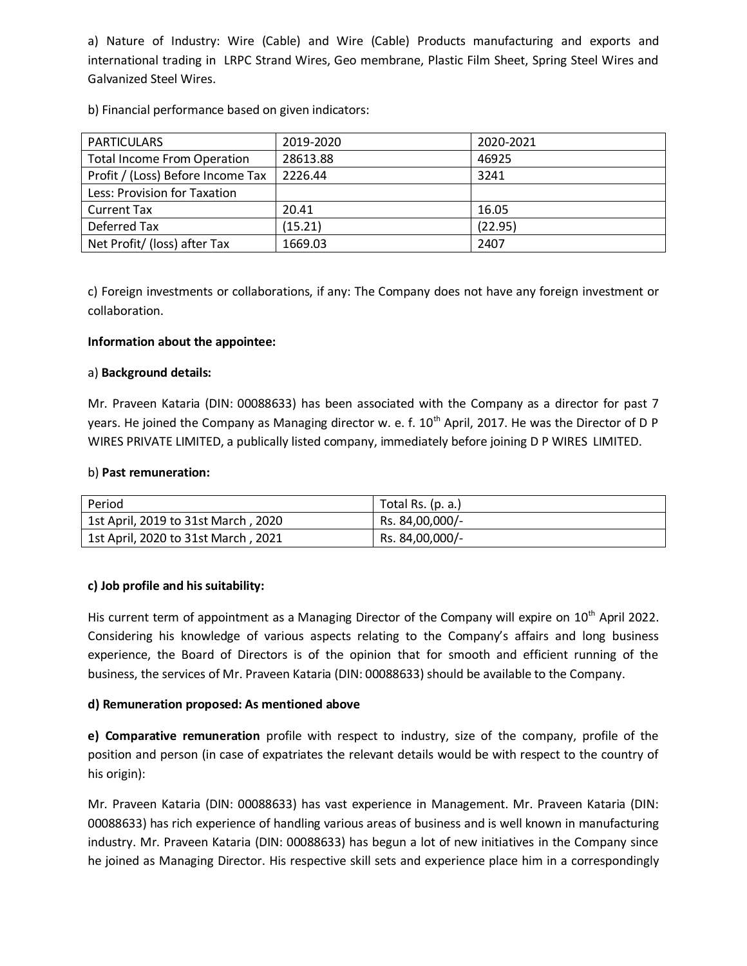a) Nature of Industry: Wire (Cable) and Wire (Cable) Products manufacturing and exports and international trading in LRPC Strand Wires, Geo membrane, Plastic Film Sheet, Spring Steel Wires and Galvanized Steel Wires.

b) Financial performance based on given indicators:

| <b>PARTICULARS</b>                 | 2019-2020 | 2020-2021 |
|------------------------------------|-----------|-----------|
| <b>Total Income From Operation</b> | 28613.88  | 46925     |
| Profit / (Loss) Before Income Tax  | 2226.44   | 3241      |
| Less: Provision for Taxation       |           |           |
| <b>Current Tax</b>                 | 20.41     | 16.05     |
| Deferred Tax                       | (15.21)   | (22.95)   |
| Net Profit/ (loss) after Tax       | 1669.03   | 2407      |

c) Foreign investments or collaborations, if any: The Company does not have any foreign investment or collaboration.

# **Information about the appointee:**

## a) **Background details:**

Mr. Praveen Kataria (DIN: 00088633) has been associated with the Company as a director for past 7 years. He joined the Company as Managing director w. e. f.  $10^{th}$  April, 2017. He was the Director of D P WIRES PRIVATE LIMITED, a publically listed company, immediately before joining D P WIRES LIMITED.

## b) **Past remuneration:**

| Period                              | Total Rs. (p. a.) |
|-------------------------------------|-------------------|
| 1st April, 2019 to 31st March, 2020 | Rs. 84,00,000/-   |
| 1st April, 2020 to 31st March, 2021 | Rs. 84,00,000/-   |

## **c) Job profile and his suitability:**

His current term of appointment as a Managing Director of the Company will expire on 10<sup>th</sup> April 2022. Considering his knowledge of various aspects relating to the Company's affairs and long business experience, the Board of Directors is of the opinion that for smooth and efficient running of the business, the services of Mr. Praveen Kataria (DIN: 00088633) should be available to the Company.

# **d) Remuneration proposed: As mentioned above**

**e) Comparative remuneration** profile with respect to industry, size of the company, profile of the position and person (in case of expatriates the relevant details would be with respect to the country of his origin):

Mr. Praveen Kataria (DIN: 00088633) has vast experience in Management. Mr. Praveen Kataria (DIN: 00088633) has rich experience of handling various areas of business and is well known in manufacturing industry. Mr. Praveen Kataria (DIN: 00088633) has begun a lot of new initiatives in the Company since he joined as Managing Director. His respective skill sets and experience place him in a correspondingly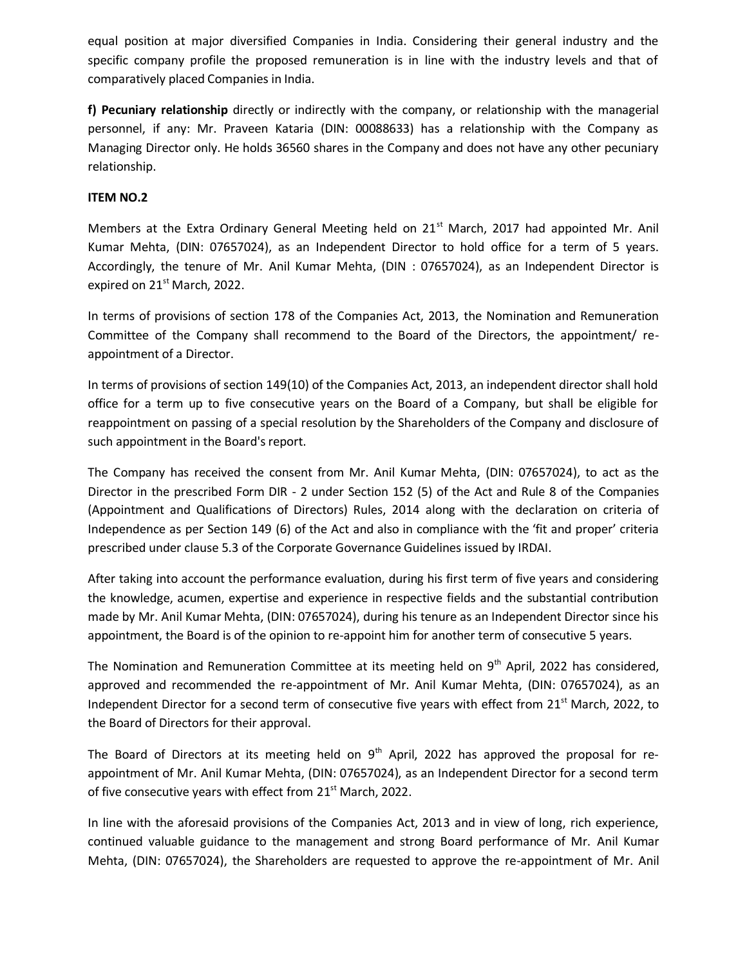equal position at major diversified Companies in India. Considering their general industry and the specific company profile the proposed remuneration is in line with the industry levels and that of comparatively placed Companies in India.

**f) Pecuniary relationship** directly or indirectly with the company, or relationship with the managerial personnel, if any: Mr. Praveen Kataria (DIN: 00088633) has a relationship with the Company as Managing Director only. He holds 36560 shares in the Company and does not have any other pecuniary relationship.

# **ITEM NO.2**

Members at the Extra Ordinary General Meeting held on 21<sup>st</sup> March, 2017 had appointed Mr. Anil Kumar Mehta, (DIN: 07657024), as an Independent Director to hold office for a term of 5 years. Accordingly, the tenure of Mr. Anil Kumar Mehta, (DIN : 07657024), as an Independent Director is expired on 21<sup>st</sup> March, 2022.

In terms of provisions of section 178 of the Companies Act, 2013, the Nomination and Remuneration Committee of the Company shall recommend to the Board of the Directors, the appointment/ reappointment of a Director.

In terms of provisions of section 149(10) of the Companies Act, 2013, an independent director shall hold office for a term up to five consecutive years on the Board of a Company, but shall be eligible for reappointment on passing of a special resolution by the Shareholders of the Company and disclosure of such appointment in the Board's report.

The Company has received the consent from Mr. Anil Kumar Mehta, (DIN: 07657024), to act as the Director in the prescribed Form DIR - 2 under Section 152 (5) of the Act and Rule 8 of the Companies (Appointment and Qualifications of Directors) Rules, 2014 along with the declaration on criteria of Independence as per Section 149 (6) of the Act and also in compliance with the 'fit and proper' criteria prescribed under clause 5.3 of the Corporate Governance Guidelines issued by IRDAI.

After taking into account the performance evaluation, during his first term of five years and considering the knowledge, acumen, expertise and experience in respective fields and the substantial contribution made by Mr. Anil Kumar Mehta, (DIN: 07657024), during his tenure as an Independent Director since his appointment, the Board is of the opinion to re-appoint him for another term of consecutive 5 years.

The Nomination and Remuneration Committee at its meeting held on 9<sup>th</sup> April, 2022 has considered, approved and recommended the re-appointment of Mr. Anil Kumar Mehta, (DIN: 07657024), as an Independent Director for a second term of consecutive five years with effect from 21<sup>st</sup> March, 2022, to the Board of Directors for their approval.

The Board of Directors at its meeting held on  $9<sup>th</sup>$  April, 2022 has approved the proposal for reappointment of Mr. Anil Kumar Mehta, (DIN: 07657024), as an Independent Director for a second term of five consecutive years with effect from 21<sup>st</sup> March, 2022.

In line with the aforesaid provisions of the Companies Act, 2013 and in view of long, rich experience, continued valuable guidance to the management and strong Board performance of Mr. Anil Kumar Mehta, (DIN: 07657024), the Shareholders are requested to approve the re-appointment of Mr. Anil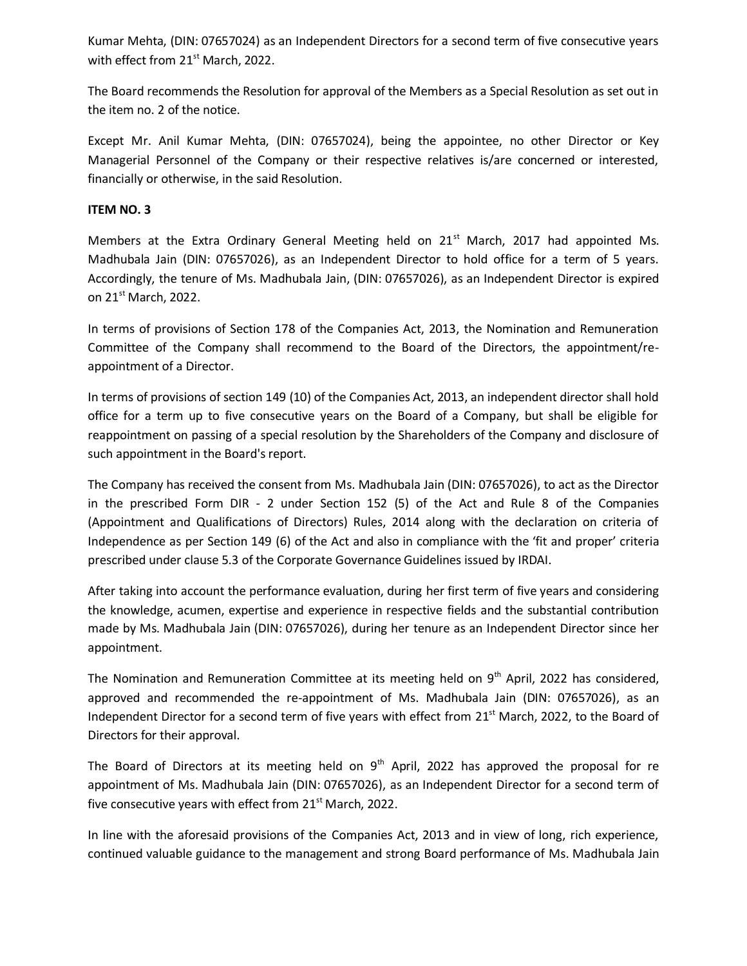Kumar Mehta, (DIN: 07657024) as an Independent Directors for a second term of five consecutive years with effect from 21<sup>st</sup> March, 2022.

The Board recommends the Resolution for approval of the Members as a Special Resolution as set out in the item no. 2 of the notice.

Except Mr. Anil Kumar Mehta, (DIN: 07657024), being the appointee, no other Director or Key Managerial Personnel of the Company or their respective relatives is/are concerned or interested, financially or otherwise, in the said Resolution.

# **ITEM NO. 3**

Members at the Extra Ordinary General Meeting held on  $21<sup>st</sup>$  March, 2017 had appointed Ms. Madhubala Jain (DIN: 07657026), as an Independent Director to hold office for a term of 5 years. Accordingly, the tenure of Ms. Madhubala Jain, (DIN: 07657026), as an Independent Director is expired on  $21^{st}$  March, 2022.

In terms of provisions of Section 178 of the Companies Act, 2013, the Nomination and Remuneration Committee of the Company shall recommend to the Board of the Directors, the appointment/reappointment of a Director.

In terms of provisions of section 149 (10) of the Companies Act, 2013, an independent director shall hold office for a term up to five consecutive years on the Board of a Company, but shall be eligible for reappointment on passing of a special resolution by the Shareholders of the Company and disclosure of such appointment in the Board's report.

The Company has received the consent from Ms. Madhubala Jain (DIN: 07657026), to act as the Director in the prescribed Form DIR - 2 under Section 152 (5) of the Act and Rule 8 of the Companies (Appointment and Qualifications of Directors) Rules, 2014 along with the declaration on criteria of Independence as per Section 149 (6) of the Act and also in compliance with the 'fit and proper' criteria prescribed under clause 5.3 of the Corporate Governance Guidelines issued by IRDAI.

After taking into account the performance evaluation, during her first term of five years and considering the knowledge, acumen, expertise and experience in respective fields and the substantial contribution made by Ms. Madhubala Jain (DIN: 07657026), during her tenure as an Independent Director since her appointment.

The Nomination and Remuneration Committee at its meeting held on 9<sup>th</sup> April, 2022 has considered, approved and recommended the re-appointment of Ms. Madhubala Jain (DIN: 07657026), as an Independent Director for a second term of five years with effect from 21<sup>st</sup> March, 2022, to the Board of Directors for their approval.

The Board of Directors at its meeting held on  $9<sup>th</sup>$  April, 2022 has approved the proposal for re appointment of Ms. Madhubala Jain (DIN: 07657026), as an Independent Director for a second term of five consecutive years with effect from 21<sup>st</sup> March, 2022.

In line with the aforesaid provisions of the Companies Act, 2013 and in view of long, rich experience, continued valuable guidance to the management and strong Board performance of Ms. Madhubala Jain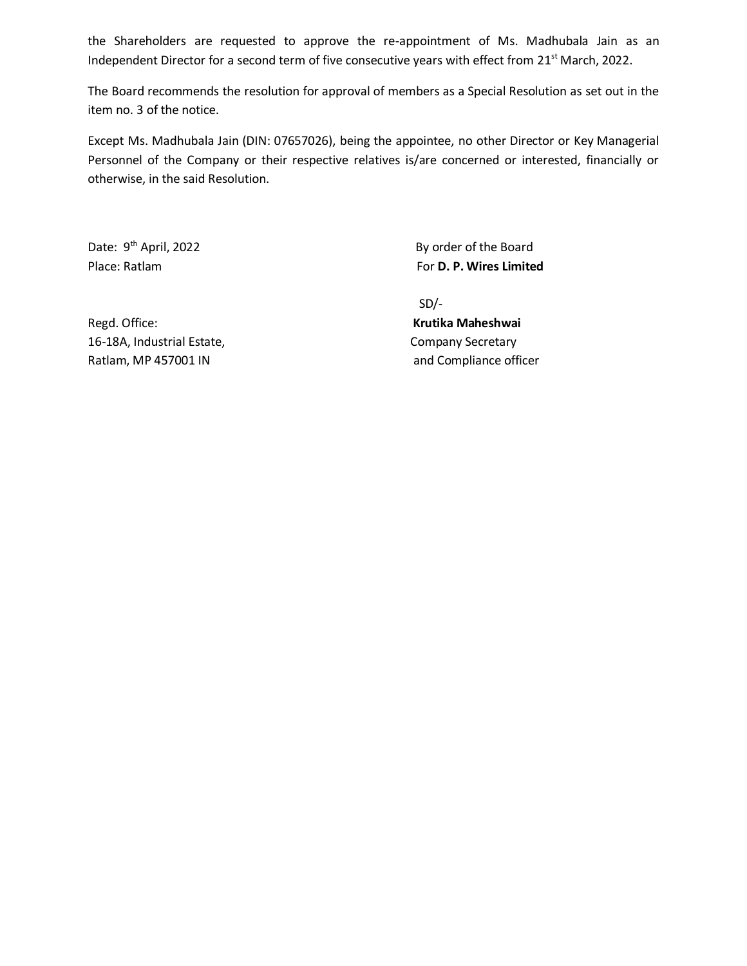the Shareholders are requested to approve the re-appointment of Ms. Madhubala Jain as an Independent Director for a second term of five consecutive years with effect from 21<sup>st</sup> March, 2022.

The Board recommends the resolution for approval of members as a Special Resolution as set out in the item no. 3 of the notice.

Except Ms. Madhubala Jain (DIN: 07657026), being the appointee, no other Director or Key Managerial Personnel of the Company or their respective relatives is/are concerned or interested, financially or otherwise, in the said Resolution.

Date: 9<sup>th</sup> April, 2022

By order of the Board Place: Ratlam **For D. P. Wires Limited** For D. P. Wires Limited

Regd. Office: **Krutika Maheshwai** 16-18A, Industrial Estate, Company Secretary Ratlam, MP 457001 IN and Compliance officer

SD/-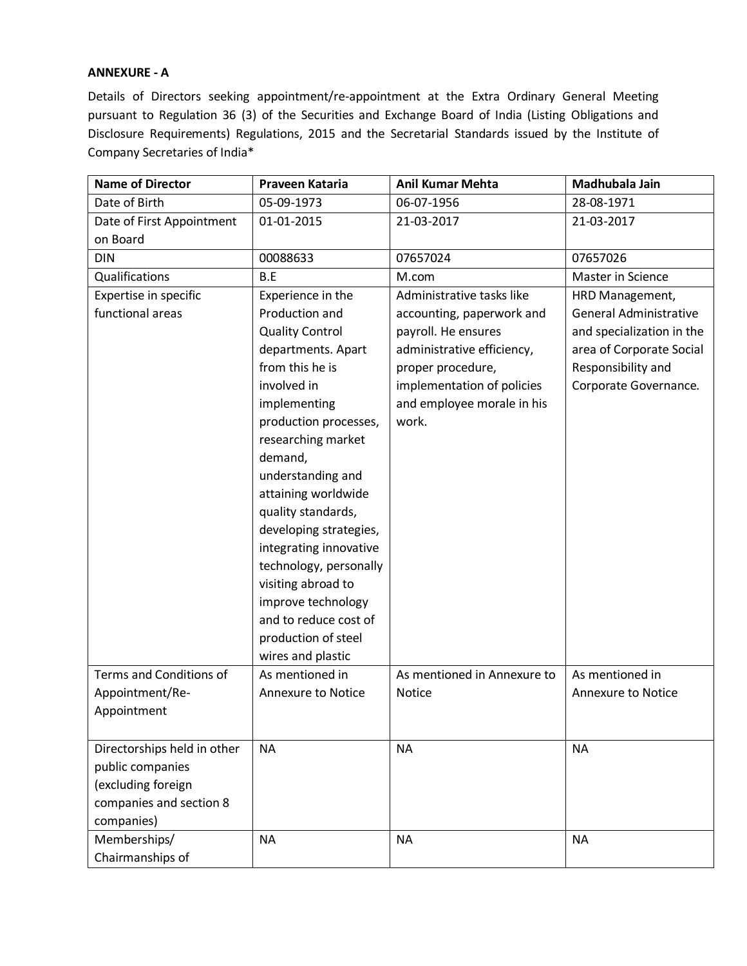## **ANNEXURE - A**

Details of Directors seeking appointment/re-appointment at the Extra Ordinary General Meeting pursuant to Regulation 36 (3) of the Securities and Exchange Board of India (Listing Obligations and Disclosure Requirements) Regulations, 2015 and the Secretarial Standards issued by the Institute of Company Secretaries of India\*

| <b>Name of Director</b>     | Praveen Kataria           | <b>Anil Kumar Mehta</b>     | Madhubala Jain                |
|-----------------------------|---------------------------|-----------------------------|-------------------------------|
| Date of Birth               | 05-09-1973                | 06-07-1956                  | 28-08-1971                    |
| Date of First Appointment   | 01-01-2015                | 21-03-2017                  | 21-03-2017                    |
| on Board                    |                           |                             |                               |
| <b>DIN</b>                  | 00088633                  | 07657024                    | 07657026                      |
| Qualifications              | B.E                       | M.com                       | Master in Science             |
| Expertise in specific       | Experience in the         | Administrative tasks like   | HRD Management,               |
| functional areas            | Production and            | accounting, paperwork and   | <b>General Administrative</b> |
|                             | <b>Quality Control</b>    | payroll. He ensures         | and specialization in the     |
|                             | departments. Apart        | administrative efficiency,  | area of Corporate Social      |
|                             | from this he is           | proper procedure,           | Responsibility and            |
|                             | involved in               | implementation of policies  | Corporate Governance.         |
|                             | implementing              | and employee morale in his  |                               |
|                             | production processes,     | work.                       |                               |
|                             | researching market        |                             |                               |
|                             | demand,                   |                             |                               |
|                             | understanding and         |                             |                               |
|                             | attaining worldwide       |                             |                               |
|                             | quality standards,        |                             |                               |
|                             | developing strategies,    |                             |                               |
|                             | integrating innovative    |                             |                               |
|                             | technology, personally    |                             |                               |
|                             | visiting abroad to        |                             |                               |
|                             | improve technology        |                             |                               |
|                             | and to reduce cost of     |                             |                               |
|                             | production of steel       |                             |                               |
|                             | wires and plastic         |                             |                               |
| Terms and Conditions of     | As mentioned in           | As mentioned in Annexure to | As mentioned in               |
| Appointment/Re-             | <b>Annexure to Notice</b> | <b>Notice</b>               | <b>Annexure to Notice</b>     |
| Appointment                 |                           |                             |                               |
|                             |                           |                             |                               |
| Directorships held in other | <b>NA</b>                 | <b>NA</b>                   | <b>NA</b>                     |
| public companies            |                           |                             |                               |
| (excluding foreign          |                           |                             |                               |
| companies and section 8     |                           |                             |                               |
| companies)                  |                           |                             |                               |
| Memberships/                | <b>NA</b>                 | <b>NA</b>                   | <b>NA</b>                     |
| Chairmanships of            |                           |                             |                               |